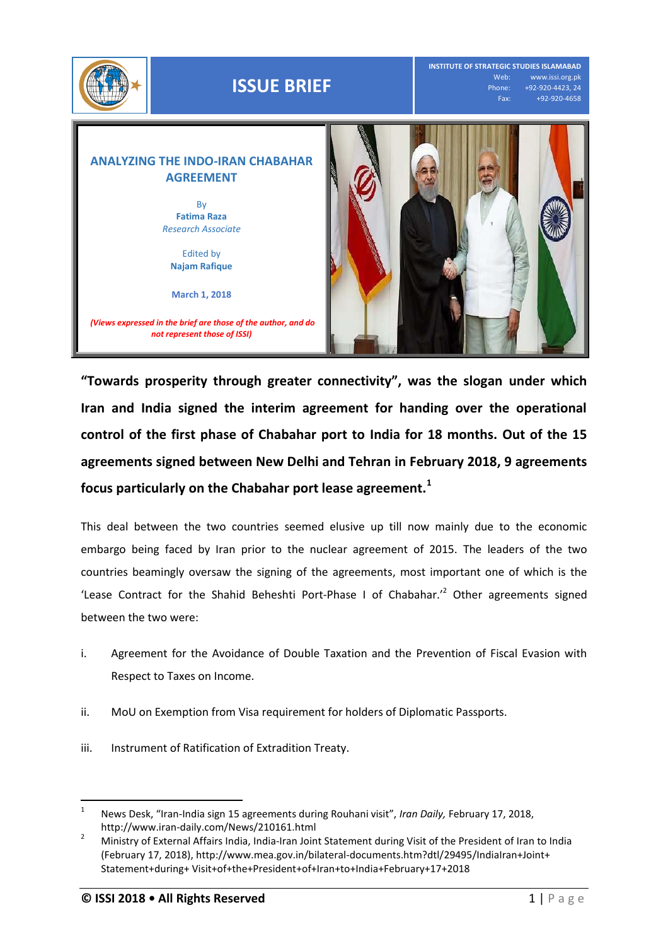

**"Towards prosperity through greater connectivity", was the slogan under which Iran and India signed the interim agreement for handing over the operational control of the first phase of Chabahar port to India for 18 months. Out of the 15 agreements signed between New Delhi and Tehran in February 2018, 9 agreements focus particularly on the Chabahar port lease agreement.<sup>1</sup>**

This deal between the two countries seemed elusive up till now mainly due to the economic embargo being faced by Iran prior to the nuclear agreement of 2015. The leaders of the two countries beamingly oversaw the signing of the agreements, most important one of which is the 'Lease Contract for the Shahid Beheshti Port-Phase I of Chabahar.<sup>'2</sup> Other agreements signed between the two were:

- i. Agreement for the Avoidance of Double Taxation and the Prevention of Fiscal Evasion with Respect to Taxes on Income.
- ii. MoU on Exemption from Visa requirement for holders of Diplomatic Passports.
- iii. Instrument of Ratification of Extradition Treaty.

l

<sup>1</sup> News Desk, "Iran-India sign 15 agreements during Rouhani visit", *Iran Daily,* February 17, 2018, http://www.iran-daily.com/News/210161.html

<sup>&</sup>lt;sup>2</sup> Ministry of External Affairs India, India-Iran Joint Statement during Visit of the President of Iran to India (February 17, 2018), http://www.mea.gov.in/bilateral-documents.htm?dtl/29495/IndiaIran+Joint+ Statement+during+ Visit+of+the+President+of+Iran+to+India+February+17+2018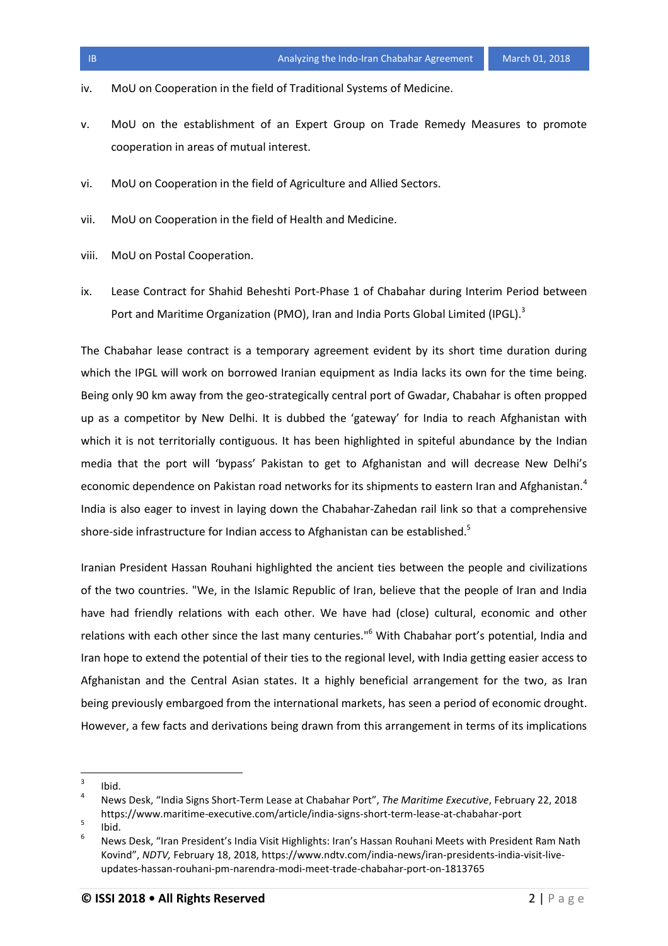- iv. MoU on Cooperation in the field of Traditional Systems of Medicine.
- v. MoU on the establishment of an Expert Group on Trade Remedy Measures to promote cooperation in areas of mutual interest.
- vi. MoU on Cooperation in the field of Agriculture and Allied Sectors.
- vii. MoU on Cooperation in the field of Health and Medicine.
- viii. MoU on Postal Cooperation.
- ix. Lease Contract for Shahid Beheshti Port-Phase 1 of Chabahar during Interim Period between Port and Maritime Organization (PMO), Iran and India Ports Global Limited (IPGL).<sup>3</sup>

The Chabahar lease contract is a temporary agreement evident by its short time duration during which the IPGL will work on borrowed Iranian equipment as India lacks its own for the time being. Being only 90 km away from the geo-strategically central port of Gwadar, Chabahar is often propped up as a competitor by New Delhi. It is dubbed the 'gateway' for India to reach Afghanistan with which it is not territorially contiguous. It has been highlighted in spiteful abundance by the Indian media that the port will 'bypass' Pakistan to get to Afghanistan and will decrease New Delhi's economic dependence on Pakistan road networks for its shipments to eastern Iran and Afghanistan.<sup>4</sup> India is also eager to invest in laying down the Chabahar-Zahedan rail link so that a comprehensive shore-side infrastructure for Indian access to Afghanistan can be established.<sup>5</sup>

Iranian President Hassan Rouhani highlighted the ancient ties between the people and civilizations of the two countries. "We, in the Islamic Republic of Iran, believe that the people of Iran and India have had friendly relations with each other. We have had (close) cultural, economic and other relations with each other since the last many centuries."<sup>6</sup> With Chabahar port's potential, India and Iran hope to extend the potential of their ties to the regional level, with India getting easier access to Afghanistan and the Central Asian states. It a highly beneficial arrangement for the two, as Iran being previously embargoed from the international markets, has seen a period of economic drought. However, a few facts and derivations being drawn from this arrangement in terms of its implications

<sup>-&</sup>lt;br>3 Ibid.

<sup>4</sup> News Desk, "India Signs Short-Term Lease at Chabahar Port", *The Maritime Executive*, February 22, 2018 https://www.maritime-executive.com/article/india-signs-short-term-lease-at-chabahar-port 5

Ibid.

<sup>6</sup> News Desk, "Iran President's India Visit Highlights: Iran's Hassan Rouhani Meets with President Ram Nath Kovind", *NDTV,* February 18, 2018, https://www.ndtv.com/india-news/iran-presidents-india-visit-liveupdates-hassan-rouhani-pm-narendra-modi-meet-trade-chabahar-port-on-1813765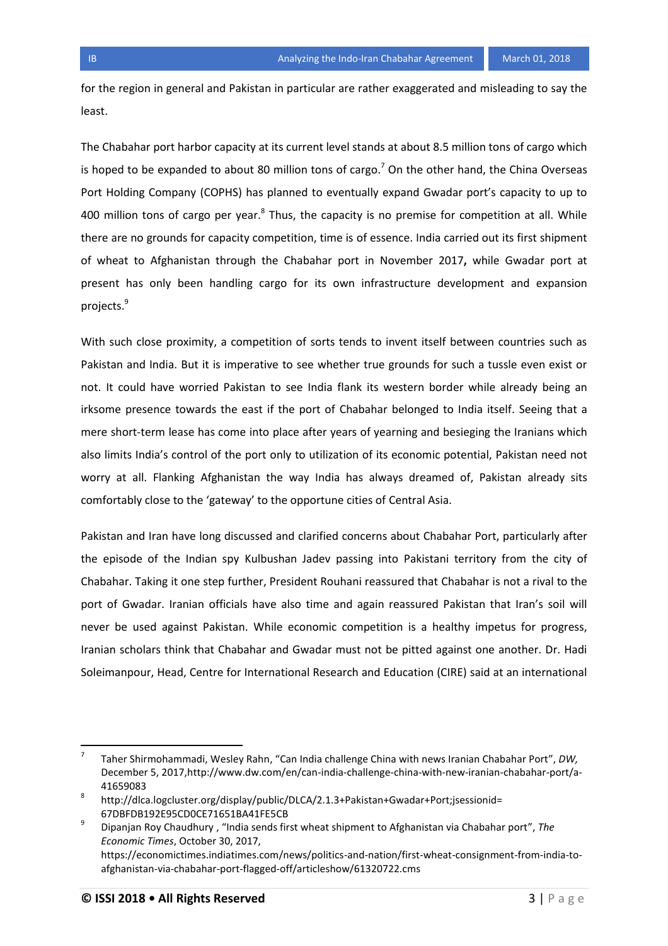for the region in general and Pakistan in particular are rather exaggerated and misleading to say the least.

The Chabahar port harbor capacity at its current level stands at about 8.5 million tons of cargo which is hoped to be expanded to about 80 million tons of cargo.<sup>7</sup> On the other hand, the China Overseas Port Holding Company (COPHS) has planned to eventually expand Gwadar port's capacity to up to 400 million tons of cargo per year. $^8$  Thus, the capacity is no premise for competition at all. While there are no grounds for capacity competition, time is of essence. India carried out its first shipment of wheat to Afghanistan through the Chabahar port in November 2017**,** while Gwadar port at present has only been handling cargo for its own infrastructure development and expansion projects.<sup>9</sup>

With such close proximity, a competition of sorts tends to invent itself between countries such as Pakistan and India. But it is imperative to see whether true grounds for such a tussle even exist or not. It could have worried Pakistan to see India flank its western border while already being an irksome presence towards the east if the port of Chabahar belonged to India itself. Seeing that a mere short-term lease has come into place after years of yearning and besieging the Iranians which also limits India's control of the port only to utilization of its economic potential, Pakistan need not worry at all. Flanking Afghanistan the way India has always dreamed of, Pakistan already sits comfortably close to the 'gateway' to the opportune cities of Central Asia.

Pakistan and Iran have long discussed and clarified concerns about Chabahar Port, particularly after the episode of the Indian spy Kulbushan Jadev passing into Pakistani territory from the city of Chabahar. Taking it one step further, President Rouhani reassured that Chabahar is not a rival to the port of Gwadar. Iranian officials have also time and again reassured Pakistan that Iran's soil will never be used against Pakistan. While economic competition is a healthy impetus for progress, Iranian scholars think that Chabahar and Gwadar must not be pitted against one another. Dr. Hadi Soleimanpour, Head, Centre for International Research and Education (CIRE) said at an international

<sup>—&</sup>lt;br>7 Taher Shirmohammadi, Wesley Rahn, "Can India challenge China with news Iranian Chabahar Port", *DW,*  December 5, 2017[,http://www.dw.com/en/can-india-challenge-china-with-new-iranian-chabahar-port/a-](http://www.dw.com/en/can-india-challenge-china-with-new-iranian-chabahar-port/a-41659083)[41659083](http://www.dw.com/en/can-india-challenge-china-with-new-iranian-chabahar-port/a-41659083)

<sup>8</sup> http://dlca.logcluster.org/display/public/DLCA/2.1.3+Pakistan+Gwadar+Port;jsessionid= 67DBFDB192E95CD0CE71651BA41FE5CB

<sup>9</sup> Dipanjan Roy Chaudhury , "India sends first wheat shipment to Afghanistan via Chabahar port", *The Economic Times*, October 30, 2017, https://economictimes.indiatimes.com/news/politics-and-nation/first-wheat-consignment-from-india-toafghanistan-via-chabahar-port-flagged-off/articleshow/61320722.cms